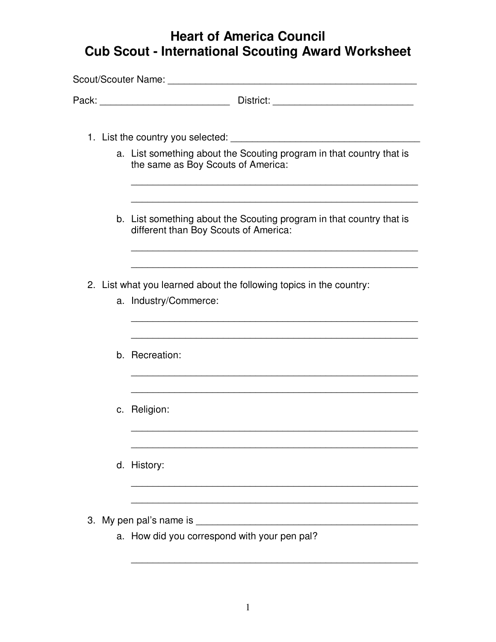## **Heart of America Council Cub Scout - International Scouting Award Worksheet**

| 1. List the country you selected: <u>container and the country of the selected</u> in the country of the country of the country of the country of the country of the country of the country of the country of the country of the co |
|-------------------------------------------------------------------------------------------------------------------------------------------------------------------------------------------------------------------------------------|
| a. List something about the Scouting program in that country that is<br>the same as Boy Scouts of America:                                                                                                                          |
| b. List something about the Scouting program in that country that is<br>different than Boy Scouts of America:                                                                                                                       |
| 2. List what you learned about the following topics in the country:<br>a. Industry/Commerce:                                                                                                                                        |
| b. Recreation:                                                                                                                                                                                                                      |
| c. Religion:                                                                                                                                                                                                                        |
| d. History:                                                                                                                                                                                                                         |
| 3. My pen pal's name is<br>a. How did you correspond with your pen pal?                                                                                                                                                             |

\_\_\_\_\_\_\_\_\_\_\_\_\_\_\_\_\_\_\_\_\_\_\_\_\_\_\_\_\_\_\_\_\_\_\_\_\_\_\_\_\_\_\_\_\_\_\_\_\_\_\_\_\_